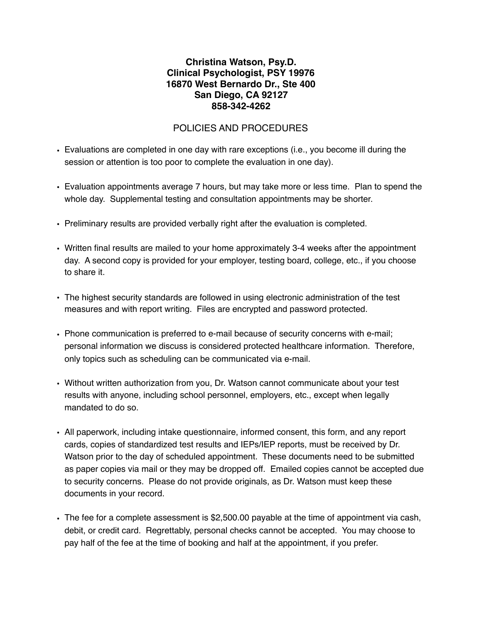## **Christina Watson, Psy.D. Clinical Psychologist, PSY 19976 16870 West Bernardo Dr., Ste 400 San Diego, CA 92127 858-342-4262**

## POLICIES AND PROCEDURES

- Evaluations are completed in one day with rare exceptions (i.e., you become ill during the session or attention is too poor to complete the evaluation in one day).
- Evaluation appointments average 7 hours, but may take more or less time. Plan to spend the whole day. Supplemental testing and consultation appointments may be shorter.
- Preliminary results are provided verbally right after the evaluation is completed.
- Written final results are mailed to your home approximately 3-4 weeks after the appointment day. A second copy is provided for your employer, testing board, college, etc., if you choose to share it.
- The highest security standards are followed in using electronic administration of the test measures and with report writing. Files are encrypted and password protected.
- Phone communication is preferred to e-mail because of security concerns with e-mail; personal information we discuss is considered protected healthcare information. Therefore, only topics such as scheduling can be communicated via e-mail.
- Without written authorization from you, Dr. Watson cannot communicate about your test results with anyone, including school personnel, employers, etc., except when legally mandated to do so.
- All paperwork, including intake questionnaire, informed consent, this form, and any report cards, copies of standardized test results and IEPs/IEP reports, must be received by Dr. Watson prior to the day of scheduled appointment. These documents need to be submitted as paper copies via mail or they may be dropped off. Emailed copies cannot be accepted due to security concerns. Please do not provide originals, as Dr. Watson must keep these documents in your record.
- The fee for a complete assessment is \$2,500.00 payable at the time of appointment via cash, debit, or credit card. Regrettably, personal checks cannot be accepted. You may choose to pay half of the fee at the time of booking and half at the appointment, if you prefer.